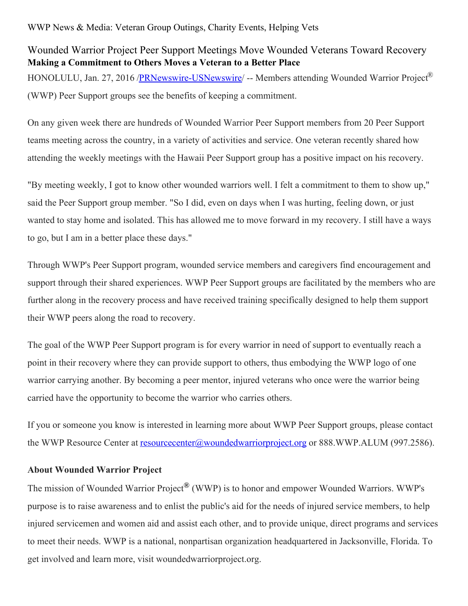WWP News & Media: Veteran Group Outings, Charity Events, Helping Vets

## Wounded Warrior Project Peer Support Meetings Move Wounded Veterans Toward Recovery **Making a Commitment to Others Moves a Veteran to a Better Place**

HONOLULU, Jan. 27, 2016 [/PRNewswire-USNewswire](http://www.prnewswire.com/)/ -- Members attending Wounded Warrior Project® (WWP) Peer Support groups see the benefits of keeping a commitment.

On any given week there are hundreds of Wounded Warrior Peer Support members from 20 Peer Support teams meeting across the country, in a variety of activities and service. One veteran recently shared how attending the weekly meetings with the Hawaii Peer Support group has a positive impact on his recovery.

"By meeting weekly, I got to know other wounded warriors well. I felt a commitment to them to show up," said the Peer Support group member. "So I did, even on days when I was hurting, feeling down, or just wanted to stay home and isolated. This has allowed me to move forward in my recovery. I still have a ways to go, but I am in a better place these days."

Through WWP's Peer Support program, wounded service members and caregivers find encouragement and support through their shared experiences. WWP Peer Support groups are facilitated by the members who are further along in the recovery process and have received training specifically designed to help them support their WWP peers along the road to recovery.

The goal of the WWP Peer Support program is for every warrior in need of support to eventually reach a point in their recovery where they can provide support to others, thus embodying the WWP logo of one warrior carrying another. By becoming a peer mentor, injured veterans who once were the warrior being carried have the opportunity to become the warrior who carries others.

If you or someone you know is interested in learning more about WWP Peer Support groups, please contact the WWP Resource Center at [resourcecenter@woundedwarriorproject.org](mailto:resourcecenter@woundedwarriorproject.org) or 888.WWP.ALUM (997.2586).

## **About Wounded Warrior Project**

The mission of Wounded Warrior Project**®** (WWP) is to honor and empower Wounded Warriors. WWP's purpose is to raise awareness and to enlist the public's aid for the needs of injured service members, to help injured servicemen and women aid and assist each other, and to provide unique, direct programs and services to meet their needs. WWP is a national, nonpartisan organization headquartered in Jacksonville, Florida. To get involved and learn more, visit woundedwarriorproject.org.